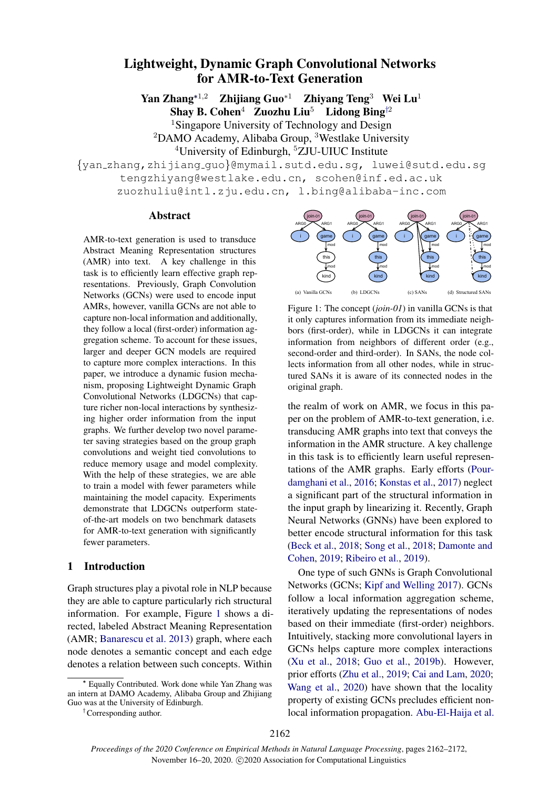# Lightweight, Dynamic Graph Convolutional Networks for AMR-to-Text Generation

Yan Zhang<sup>∗1,2</sup> Zhijiang Guo<sup>∗1</sup> Zhiyang Teng<sup>3</sup> Wei Lu<sup>1</sup> Shay B. Cohen<sup>4</sup> Zuozhu Liu<sup>5</sup> Lidong Bing<sup>†2</sup>

<sup>1</sup>Singapore University of Technology and Design  $2$ DAMO Academy, Alibaba Group,  $3$ Westlake University <sup>4</sup>University of Edinburgh, <sup>5</sup>ZJU-UIUC Institute

{yan zhang,zhijiang guo}@mymail.sutd.edu.sg, luwei@sutd.edu.sg tengzhiyang@westlake.edu.cn, scohen@inf.ed.ac.uk zuozhuliu@intl.zju.edu.cn, l.bing@alibaba-inc.com

#### Abstract

AMR-to-text generation is used to transduce Abstract Meaning Representation structures (AMR) into text. A key challenge in this task is to efficiently learn effective graph representations. Previously, Graph Convolution Networks (GCNs) were used to encode input AMRs, however, vanilla GCNs are not able to capture non-local information and additionally, they follow a local (first-order) information aggregation scheme. To account for these issues, larger and deeper GCN models are required to capture more complex interactions. In this paper, we introduce a dynamic fusion mechanism, proposing Lightweight Dynamic Graph Convolutional Networks (LDGCNs) that capture richer non-local interactions by synthesizing higher order information from the input graphs. We further develop two novel parameter saving strategies based on the group graph convolutions and weight tied convolutions to reduce memory usage and model complexity. With the help of these strategies, we are able to train a model with fewer parameters while maintaining the model capacity. Experiments demonstrate that LDGCNs outperform stateof-the-art models on two benchmark datasets for AMR-to-text generation with significantly fewer parameters.

### 1 Introduction

Graph structures play a pivotal role in NLP because they are able to capture particularly rich structural information. For example, Figure [1](#page-0-0) shows a directed, labeled Abstract Meaning Representation (AMR; [Banarescu et al.](#page-9-0) [2013\)](#page-9-0) graph, where each node denotes a semantic concept and each edge denotes a relation between such concepts. Within

<span id="page-0-0"></span>

Figure 1: The concept (*join-01*) in vanilla GCNs is that it only captures information from its immediate neighbors (first-order), while in LDGCNs it can integrate information from neighbors of different order (e.g., second-order and third-order). In SANs, the node collects information from all other nodes, while in structured SANs it is aware of its connected nodes in the original graph.

the realm of work on AMR, we focus in this paper on the problem of AMR-to-text generation, i.e. transducing AMR graphs into text that conveys the information in the AMR structure. A key challenge in this task is to efficiently learn useful representations of the AMR graphs. Early efforts [\(Pour](#page-10-0)[damghani et al.,](#page-10-0) [2016;](#page-10-0) [Konstas et al.,](#page-9-1) [2017\)](#page-9-1) neglect a significant part of the structural information in the input graph by linearizing it. Recently, Graph Neural Networks (GNNs) have been explored to better encode structural information for this task [\(Beck et al.,](#page-9-2) [2018;](#page-9-2) [Song et al.,](#page-10-1) [2018;](#page-10-1) [Damonte and](#page-9-3) [Cohen,](#page-9-3) [2019;](#page-9-3) [Ribeiro et al.,](#page-10-2) [2019\)](#page-10-2).

One type of such GNNs is Graph Convolutional Networks (GCNs; [Kipf and Welling](#page-9-4) [2017\)](#page-9-4). GCNs follow a local information aggregation scheme, iteratively updating the representations of nodes based on their immediate (first-order) neighbors. Intuitively, stacking more convolutional layers in GCNs helps capture more complex interactions [\(Xu et al.,](#page-10-3) [2018;](#page-10-3) [Guo et al.,](#page-9-5) [2019b\)](#page-9-5). However, prior efforts [\(Zhu et al.,](#page-10-4) [2019;](#page-10-4) [Cai and Lam,](#page-9-6) [2020;](#page-9-6) [Wang et al.,](#page-10-5) [2020\)](#page-10-5) have shown that the locality property of existing GCNs precludes efficient nonlocal information propagation. [Abu-El-Haija et al.](#page-9-7)

Equally Contributed. Work done while Yan Zhang was an intern at DAMO Academy, Alibaba Group and Zhijiang Guo was at the University of Edinburgh.

<sup>†</sup>Corresponding author.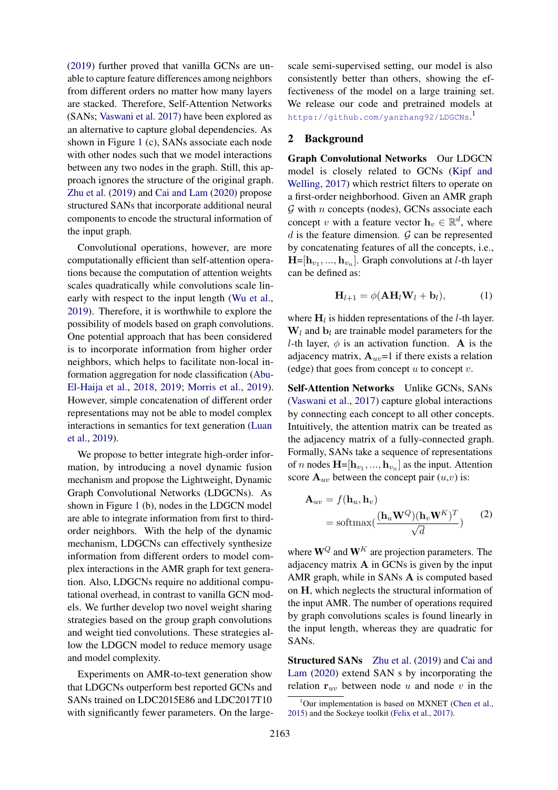[\(2019\)](#page-9-7) further proved that vanilla GCNs are unable to capture feature differences among neighbors from different orders no matter how many layers are stacked. Therefore, Self-Attention Networks (SANs; [Vaswani et al.](#page-10-6) [2017\)](#page-10-6) have been explored as an alternative to capture global dependencies. As shown in Figure [1](#page-0-0) (c), SANs associate each node with other nodes such that we model interactions between any two nodes in the graph. Still, this approach ignores the structure of the original graph. [Zhu et al.](#page-10-4) [\(2019\)](#page-10-4) and [Cai and Lam](#page-9-6) [\(2020\)](#page-9-6) propose structured SANs that incorporate additional neural components to encode the structural information of the input graph.

Convolutional operations, however, are more computationally efficient than self-attention operations because the computation of attention weights scales quadratically while convolutions scale linearly with respect to the input length [\(Wu et al.,](#page-10-7) [2019\)](#page-10-7). Therefore, it is worthwhile to explore the possibility of models based on graph convolutions. One potential approach that has been considered is to incorporate information from higher order neighbors, which helps to facilitate non-local information aggregation for node classification [\(Abu-](#page-9-8)[El-Haija et al.,](#page-9-8) [2018,](#page-9-8) [2019;](#page-9-7) [Morris et al.,](#page-10-8) [2019\)](#page-10-8). However, simple concatenation of different order representations may not be able to model complex interactions in semantics for text generation [\(Luan](#page-10-9) [et al.,](#page-10-9) [2019\)](#page-10-9).

We propose to better integrate high-order information, by introducing a novel dynamic fusion mechanism and propose the Lightweight, Dynamic Graph Convolutional Networks (LDGCNs). As shown in Figure [1](#page-5-0) (b), nodes in the LDGCN model are able to integrate information from first to thirdorder neighbors. With the help of the dynamic mechanism, LDGCNs can effectively synthesize information from different orders to model complex interactions in the AMR graph for text generation. Also, LDGCNs require no additional computational overhead, in contrast to vanilla GCN models. We further develop two novel weight sharing strategies based on the group graph convolutions and weight tied convolutions. These strategies allow the LDGCN model to reduce memory usage and model complexity.

Experiments on AMR-to-text generation show that LDGCNs outperform best reported GCNs and SANs trained on LDC2015E86 and LDC2017T10 with significantly fewer parameters. On the largescale semi-supervised setting, our model is also consistently better than others, showing the effectiveness of the model on a large training set. We release our code and pretrained models at <https://github.com/yanzhang92/LDGCNs>. [1](#page-1-0)

### <span id="page-1-1"></span>2 Background

Graph Convolutional Networks Our LDGCN model is closely related to GCNs [\(Kipf and](#page-9-4) [Welling,](#page-9-4) [2017\)](#page-9-4) which restrict filters to operate on a first-order neighborhood. Given an AMR graph  $G$  with  $n$  concepts (nodes), GCNs associate each concept v with a feature vector  $\mathbf{h}_v \in \mathbb{R}^d$ , where  $d$  is the feature dimension.  $\mathcal G$  can be represented by concatenating features of all the concepts, i.e.,  $H=[\mathbf{h}_{v_1},...,\mathbf{h}_{v_n}].$  Graph convolutions at *l*-th layer can be defined as:

<span id="page-1-2"></span>
$$
\mathbf{H}_{l+1} = \phi(\mathbf{A}\mathbf{H}_l\mathbf{W}_l + \mathbf{b}_l), \tag{1}
$$

where  $H_l$  is hidden representations of the *l*-th layer.  $W_l$  and  $b_l$  are trainable model parameters for the l-th layer,  $\phi$  is an activation function. A is the adjacency matrix,  $A_{uv}$ =1 if there exists a relation (edge) that goes from concept  $u$  to concept  $v$ .

Self-Attention Networks Unlike GCNs, SANs [\(Vaswani et al.,](#page-10-6) [2017\)](#page-10-6) capture global interactions by connecting each concept to all other concepts. Intuitively, the attention matrix can be treated as the adjacency matrix of a fully-connected graph. Formally, SANs take a sequence of representations of *n* nodes  $\mathbf{H} = [\mathbf{h}_{v_1}, ..., \mathbf{h}_{v_n}]$  as the input. Attention score  $\mathbf{A}_{uv}$  between the concept pair  $(u, v)$  is:

$$
\mathbf{A}_{uv} = f(\mathbf{h}_u, \mathbf{h}_v)
$$
  
= softmax( $\frac{(\mathbf{h}_u \mathbf{W}^Q)(\mathbf{h}_v \mathbf{W}^K)^T}{\sqrt{d}}$ ) (2)

where  $W^Q$  and  $W^K$  are projection parameters. The adjacency matrix  $A$  in GCNs is given by the input AMR graph, while in SANs A is computed based on H, which neglects the structural information of the input AMR. The number of operations required by graph convolutions scales is found linearly in the input length, whereas they are quadratic for SANs.

Structured SANs [Zhu et al.](#page-10-4) [\(2019\)](#page-10-4) and [Cai and](#page-9-6) [Lam](#page-9-6) [\(2020\)](#page-9-6) extend SAN s by incorporating the relation  $r_{uv}$  between node u and node v in the

<span id="page-1-0"></span> $1$ Our implementation is based on MXNET [\(Chen et al.,](#page-9-9) [2015\)](#page-9-9) and the Sockeye toolkit [\(Felix et al.,](#page-9-10) [2017\)](#page-9-10).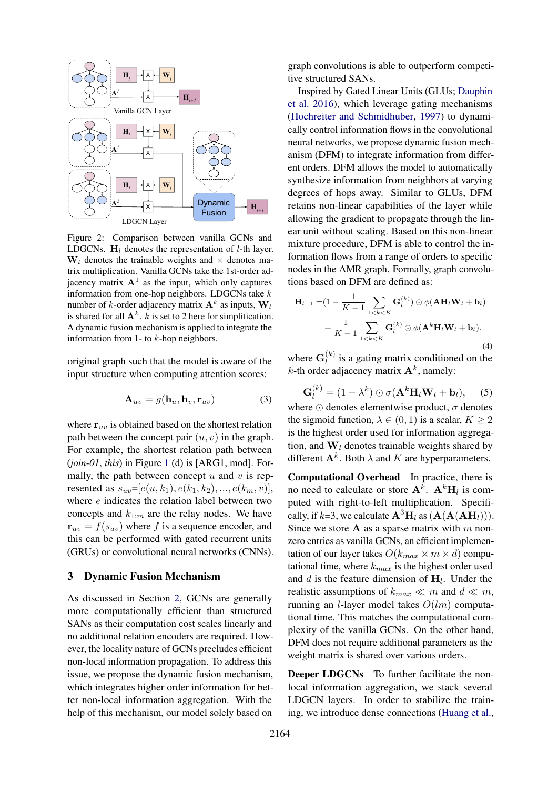

Figure 2: Comparison between vanilla GCNs and LDGCNs.  $H_l$  denotes the representation of *l*-th layer.  $W_l$  denotes the trainable weights and  $\times$  denotes matrix multiplication. Vanilla GCNs take the 1st-order adjacency matrix  $A<sup>1</sup>$  as the input, which only captures information from one-hop neighbors. LDGCNs take  $k$ number of *k*-order adjacency matrix  $A^k$  as inputs,  $W_l$ is shared for all  $A^k$ . k is set to 2 here for simplification. A dynamic fusion mechanism is applied to integrate the information from 1- to  $k$ -hop neighbors.

original graph such that the model is aware of the input structure when computing attention scores:

$$
\mathbf{A}_{uv} = g(\mathbf{h}_u, \mathbf{h}_v, \mathbf{r}_{uv}) \tag{3}
$$

Dynamic<br>
Fusion Fusion<br>
vanilla GCNs and<br>
thation of *l*-th layer.<br>
and  $\times$  denotes ma-<br>
ake the 1st-order ad-<br>
vhich only captures the sk x A is inputs.<br>
x A is inputs,  $W_l$ <br>
re for simplification.<br>
plied to integrate t where  $r_{uv}$  is obtained based on the shortest relation path between the concept pair  $(u, v)$  in the graph. For example, the shortest relation path between (*join-01*, *this*) in Figure [1](#page-5-0) (d) is [ARG1, mod]. Formally, the path between concept  $u$  and  $v$  is represented as  $s_{uv}=[e(u, k_1), e(k_1, k_2), ..., e(k_m, v)],$ where e indicates the relation label between two concepts and  $k_{1:m}$  are the relay nodes. We have  ${\bf r}_{uv} = f(s_{uv})$  where f is a sequence encoder, and this can be performed with gated recurrent units (GRUs) or convolutional neural networks (CNNs).

### 3 Dynamic Fusion Mechanism

As discussed in Section [2,](#page-1-1) GCNs are generally more computationally efficient than structured SANs as their computation cost scales linearly and no additional relation encoders are required. However, the locality nature of GCNs precludes efficient non-local information propagation. To address this issue, we propose the dynamic fusion mechanism, which integrates higher order information for better non-local information aggregation. With the help of this mechanism, our model solely based on

graph convolutions is able to outperform competitive structured SANs.

Inspired by Gated Linear Units (GLUs; [Dauphin](#page-9-11) [et al.](#page-9-11) [2016\)](#page-9-11), which leverage gating mechanisms [\(Hochreiter and Schmidhuber,](#page-9-12) [1997\)](#page-9-12) to dynamically control information flows in the convolutional neural networks, we propose dynamic fusion mechanism (DFM) to integrate information from different orders. DFM allows the model to automatically synthesize information from neighbors at varying degrees of hops away. Similar to GLUs, DFM retains non-linear capabilities of the layer while allowing the gradient to propagate through the linear unit without scaling. Based on this non-linear mixture procedure, DFM is able to control the information flows from a range of orders to specific nodes in the AMR graph. Formally, graph convolutions based on DFM are defined as:

<span id="page-2-0"></span>
$$
\mathbf{H}_{l+1} = (1 - \frac{1}{K-1} \sum_{1 < k < K} \mathbf{G}_l^{(k)} ) \odot \phi(\mathbf{A} \mathbf{H}_l \mathbf{W}_l + \mathbf{b}_l) \\
+ \frac{1}{K-1} \sum_{1 < k < K} \mathbf{G}_l^{(k)} \odot \phi(\mathbf{A}^k \mathbf{H}_l \mathbf{W}_l + \mathbf{b}_l).
$$
\n(4)

where  $\mathbf{G}_l^{(k)}$  $\binom{K}{l}$  is a gating matrix conditioned on the k-th order adjacency matrix  $A<sup>k</sup>$ , namely:

$$
\mathbf{G}_l^{(k)} = (1 - \lambda^k) \odot \sigma(\mathbf{A}^k \mathbf{H}_l \mathbf{W}_l + \mathbf{b}_l), \quad (5)
$$

where  $\odot$  denotes elementwise product,  $\sigma$  denotes the sigmoid function,  $\lambda \in (0, 1)$  is a scalar,  $K \ge 2$ is the highest order used for information aggregation, and  $W_l$  denotes trainable weights shared by different  $A^k$ . Both  $\lambda$  and K are hyperparameters.

Computational Overhead In practice, there is no need to calculate or store  $\mathbf{A}^k$ .  $\mathbf{A}^k$ **H**<sub>l</sub> is computed with right-to-left multiplication. Specifically, if  $k=3$ , we calculate  $\mathbf{A}^3\mathbf{H}_l$  as  $(\mathbf{A}(\mathbf{A}(\mathbf{A}\mathbf{H}_l))).$ Since we store  $A$  as a sparse matrix with m nonzero entries as vanilla GCNs, an efficient implementation of our layer takes  $O(k_{max} \times m \times d)$  computational time, where  $k_{max}$  is the highest order used and  $d$  is the feature dimension of  $H_l$ . Under the realistic assumptions of  $k_{max} \ll m$  and  $d \ll m$ , running an *l*-layer model takes  $O(lm)$  computational time. This matches the computational complexity of the vanilla GCNs. On the other hand, DFM does not require additional parameters as the weight matrix is shared over various orders.

Deeper LDGCNs To further facilitate the nonlocal information aggregation, we stack several LDGCN layers. In order to stabilize the training, we introduce dense connections [\(Huang et al.,](#page-9-13)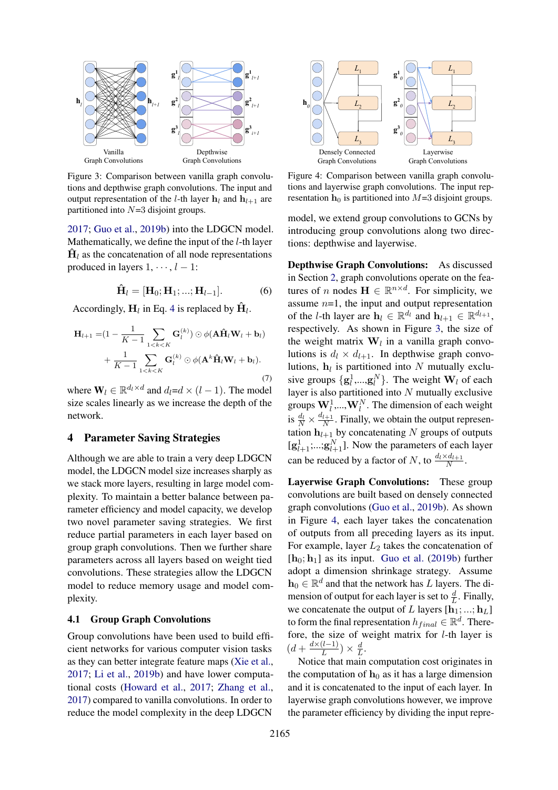<span id="page-3-0"></span>

Figure 3: Comparison between vanilla graph convolutions and depthwise graph convolutions. The input and output representation of the *l*-th layer  $h_l$  and  $h_{l+1}$  are partitioned into  $N=3$  disjoint groups.

[2017;](#page-9-13) [Guo et al.,](#page-9-5) [2019b\)](#page-9-5) into the LDGCN model. Mathematically, we define the input of the l-th layer  $\dot{H}_l$  as the concatenation of all node representations produced in layers  $1, \dots, l - 1$ :

$$
\hat{\mathbf{H}}_l = [\mathbf{H}_0; \mathbf{H}_1; \dots; \mathbf{H}_{l-1}]. \tag{6}
$$

Accordingly,  $H_l$  in Eq. [4](#page-2-0) is replaced by  $\hat{H}_l$ .

$$
\mathbf{H}_{l+1} = (1 - \frac{1}{K-1} \sum_{1 < k < K} \mathbf{G}_l^{(k)} ) \odot \phi(\mathbf{A} \hat{\mathbf{H}}_l \mathbf{W}_l + \mathbf{b}_l) \\
+ \frac{1}{K-1} \sum_{1 < k < K} \mathbf{G}_l^{(k)} \odot \phi(\mathbf{A}^k \hat{\mathbf{H}}_l \mathbf{W}_l + \mathbf{b}_l).
$$
\n(7)

where  $\mathbf{W}_l \in \mathbb{R}^{d_l \times d}$  and  $d_l = d \times (l - 1)$ . The model size scales linearly as we increase the depth of the network.

# 4 Parameter Saving Strategies

Although we are able to train a very deep LDGCN model, the LDGCN model size increases sharply as we stack more layers, resulting in large model complexity. To maintain a better balance between parameter efficiency and model capacity, we develop two novel parameter saving strategies. We first reduce partial parameters in each layer based on group graph convolutions. Then we further share parameters across all layers based on weight tied convolutions. These strategies allow the LDGCN model to reduce memory usage and model complexity.

### 4.1 Group Graph Convolutions

Group convolutions have been used to build efficient networks for various computer vision tasks as they can better integrate feature maps [\(Xie et al.,](#page-10-10) [2017;](#page-10-10) [Li et al.,](#page-10-11) [2019b\)](#page-10-11) and have lower computational costs [\(Howard et al.,](#page-9-14) [2017;](#page-9-14) [Zhang et al.,](#page-10-12) [2017\)](#page-10-12) compared to vanilla convolutions. In order to reduce the model complexity in the deep LDGCN

<span id="page-3-1"></span>

Figure 4: Comparison between vanilla graph convolutions and layerwise graph convolutions. The input representation  $h_0$  is partitioned into  $M=3$  disjoint groups.

model, we extend group convolutions to GCNs by introducing group convolutions along two directions: depthwise and layerwise.

<span id="page-3-2"></span>Depthwise Graph Convolutions: As discussed in Section [2,](#page-1-1) graph convolutions operate on the features of n nodes  $\mathbf{H} \in \mathbb{R}^{n \times d}$ . For simplicity, we assume  $n=1$ , the input and output representation of the *l*-th layer are  $\mathbf{h}_l \in \mathbb{R}^{d_l}$  and  $\mathbf{h}_{l+1} \in \mathbb{R}^{d_{l+1}}$ , respectively. As shown in Figure [3,](#page-3-0) the size of the weight matrix  $W_l$  in a vanilla graph convolutions is  $d_l \times d_{l+1}$ . In depthwise graph convolutions,  $h_l$  is partitioned into N mutually exclusive groups  $\{g_l^1, ..., g_l^N\}$ . The weight  $W_l$  of each layer is also partitioned into  $N$  mutually exclusive groups  $\mathbf{W}_l^1, ..., \mathbf{W}_l^N$ . The dimension of each weight is  $\frac{d_l}{N} \times \frac{d_{l+1}}{N}$  $\frac{l+1}{N}$ . Finally, we obtain the output representation  $h_{l+1}$  by concatenating N groups of outputs  $[g_{l+1}^1;...;g_{l+1}^N]$ . Now the parameters of each layer can be reduced by a factor of N, to  $\frac{d_l \times d_{l+1}}{N}$ .

Layerwise Graph Convolutions: These group convolutions are built based on densely connected graph convolutions [\(Guo et al.,](#page-9-5) [2019b\)](#page-9-5). As shown in Figure [4,](#page-3-1) each layer takes the concatenation of outputs from all preceding layers as its input. For example, layer  $L_2$  takes the concatenation of  $[h_0; h_1]$  as its input. [Guo et al.](#page-9-5) [\(2019b\)](#page-9-5) further adopt a dimension shrinkage strategy. Assume  $\mathbf{h}_0 \in \mathbb{R}^d$  and that the network has L layers. The dimension of output for each layer is set to  $\frac{d}{L}$ . Finally, we concatenate the output of L layers  $[\mathbf{h}_1; \dots; \mathbf{h}_L]$ to form the final representation  $h_{final} \in \mathbb{R}^d$ . Therefore, the size of weight matrix for l-th layer is  $\left(d+\frac{d\times(l-1)}{L}\right)$  $\frac{(l-1)}{L}\big)\times\frac{d}{L}$  $\frac{d}{L}$ .

Notice that main computation cost originates in the computation of  $h_0$  as it has a large dimension and it is concatenated to the input of each layer. In layerwise graph convolutions however, we improve the parameter efficiency by dividing the input repre-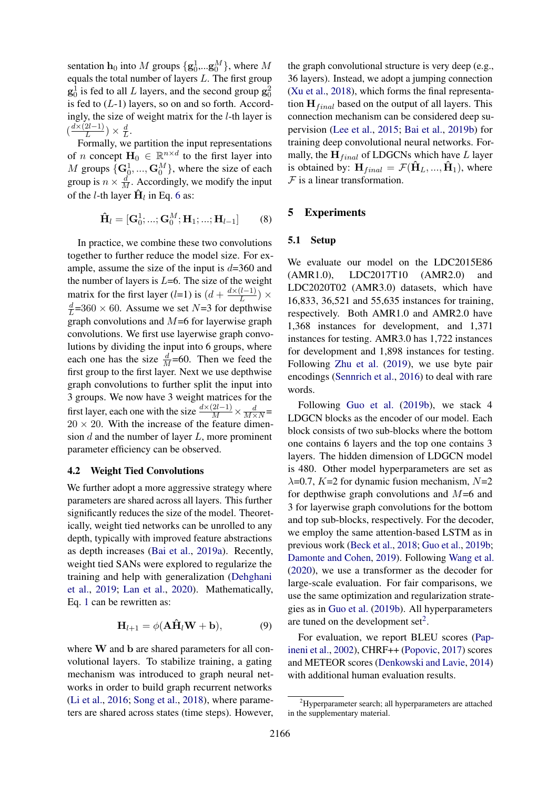sentation  $h_0$  into M groups  $\{g_0^1,...g_0^M\}$ , where M equals the total number of layers  $L$ . The first group  $\mathbf{g}_0^1$  is fed to all L layers, and the second group  $\mathbf{g}_0^2$ is fed to  $(L-1)$  layers, so on and so forth. Accordingly, the size of weight matrix for the  $l$ -th layer is  $\left(\frac{d\times(2l-1)}{L}\right)$  $\frac{2l-1)}{L}\big)\times\frac{d}{L}$  $\frac{d}{L}$ .

Formally, we partition the input representations of *n* concept  $H_0 \in \mathbb{R}^{n \times d}$  to the first layer into M groups  $\{G_0^1, ..., G_0^M\}$ , where the size of each group is  $n \times \frac{d}{M}$ . Accordingly, we modify the input of the *l*-th layer  $\hat{\mathbf{H}}_l$  in Eq. [6](#page-3-2) as:

$$
\hat{\mathbf{H}}_l = [\mathbf{G}_0^1; \dots; \mathbf{G}_0^M; \mathbf{H}_1; \dots; \mathbf{H}_{l-1}] \quad (8)
$$

In practice, we combine these two convolutions together to further reduce the model size. For example, assume the size of the input is  $d=360$  and the number of layers is  $L=6$ . The size of the weight matrix for the first layer (l=1) is  $(d + \frac{d \times (l-1)}{l})$  $\frac{(l-1)}{L}\big)\times$ d  $\frac{d}{L}$ =360 × 60. Assume we set N=3 for depthwise graph convolutions and  $M=6$  for layerwise graph convolutions. We first use layerwise graph convolutions by dividing the input into 6 groups, where each one has the size  $\frac{d}{M}$ =60. Then we feed the first group to the first layer. Next we use depthwise graph convolutions to further split the input into 3 groups. We now have 3 weight matrices for the first layer, each one with the size  $\frac{d \times (2l-1)}{M} \times \frac{d}{M \times N}$  $20 \times 20$ . With the increase of the feature dimension  $d$  and the number of layer  $L$ , more prominent parameter efficiency can be observed.

### 4.2 Weight Tied Convolutions

We further adopt a more aggressive strategy where parameters are shared across all layers. This further significantly reduces the size of the model. Theoretically, weight tied networks can be unrolled to any depth, typically with improved feature abstractions as depth increases [\(Bai et al.,](#page-9-15) [2019a\)](#page-9-15). Recently, weight tied SANs were explored to regularize the training and help with generalization [\(Dehghani](#page-9-16) [et al.,](#page-9-16) [2019;](#page-9-16) [Lan et al.,](#page-9-17) [2020\)](#page-9-17). Mathematically, Eq. [1](#page-1-2) can be rewritten as:

$$
\mathbf{H}_{l+1} = \phi(\mathbf{A}\hat{\mathbf{H}}_l \mathbf{W} + \mathbf{b}),\tag{9}
$$

where W and b are shared parameters for all convolutional layers. To stabilize training, a gating mechanism was introduced to graph neural networks in order to build graph recurrent networks [\(Li et al.,](#page-10-13) [2016;](#page-10-13) [Song et al.,](#page-10-1) [2018\)](#page-10-1), where parameters are shared across states (time steps). However,

the graph convolutional structure is very deep (e.g., 36 layers). Instead, we adopt a jumping connection [\(Xu et al.,](#page-10-3) [2018\)](#page-10-3), which forms the final representation  $H_{final}$  based on the output of all layers. This connection mechanism can be considered deep supervision [\(Lee et al.,](#page-9-18) [2015;](#page-9-18) [Bai et al.,](#page-9-19) [2019b\)](#page-9-19) for training deep convolutional neural networks. Formally, the  $H_{final}$  of LDGCNs which have L layer is obtained by:  $\mathbf{H}_{final} = \mathcal{F}(\mathbf{H}_{L},...,\mathbf{H}_{1}),$  where  $F$  is a linear transformation.

### 5 Experiments

# 5.1 Setup

We evaluate our model on the LDC2015E86 (AMR1.0), LDC2017T10 (AMR2.0) and LDC2020T02 (AMR3.0) datasets, which have 16,833, 36,521 and 55,635 instances for training, respectively. Both AMR1.0 and AMR2.0 have 1,368 instances for development, and 1,371 instances for testing. AMR3.0 has 1,722 instances for development and 1,898 instances for testing. Following [Zhu et al.](#page-10-4) [\(2019\)](#page-10-4), we use byte pair encodings [\(Sennrich et al.,](#page-10-14) [2016\)](#page-10-14) to deal with rare words.

Following [Guo et al.](#page-9-5) [\(2019b\)](#page-9-5), we stack 4 LDGCN blocks as the encoder of our model. Each block consists of two sub-blocks where the bottom one contains 6 layers and the top one contains 3 layers. The hidden dimension of LDGCN model is 480. Other model hyperparameters are set as  $\lambda$ =0.7, K=2 for dynamic fusion mechanism, N=2 for depthwise graph convolutions and  $M=6$  and 3 for layerwise graph convolutions for the bottom and top sub-blocks, respectively. For the decoder, we employ the same attention-based LSTM as in previous work [\(Beck et al.,](#page-9-2) [2018;](#page-9-2) [Guo et al.,](#page-9-5) [2019b;](#page-9-5) [Damonte and Cohen,](#page-9-3) [2019\)](#page-9-3). Following [Wang et al.](#page-10-5) [\(2020\)](#page-10-5), we use a transformer as the decoder for large-scale evaluation. For fair comparisons, we use the same optimization and regularization strategies as in [Guo et al.](#page-9-5) [\(2019b\)](#page-9-5). All hyperparameters are tuned on the development  $set<sup>2</sup>$  $set<sup>2</sup>$  $set<sup>2</sup>$ .

For evaluation, we report BLEU scores [\(Pap](#page-10-15)[ineni et al.,](#page-10-15) [2002\)](#page-10-15), CHRF++ [\(Popovic,](#page-10-16) [2017\)](#page-10-16) scores and METEOR scores [\(Denkowski and Lavie,](#page-9-20) [2014\)](#page-9-20) with additional human evaluation results.

<span id="page-4-0"></span> ${}^{2}$ Hyperparameter search; all hyperparameters are attached in the supplementary material.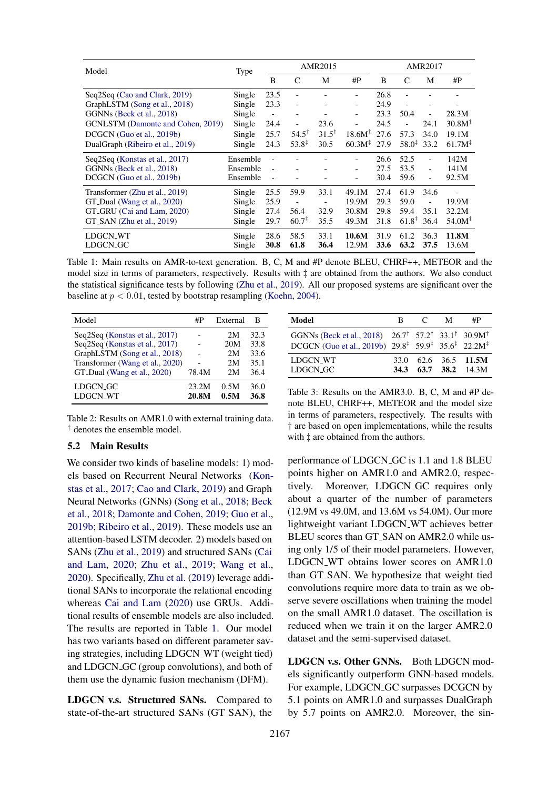<span id="page-5-0"></span>

| Model                             | <b>Type</b>      | <b>AMR2015</b>           |                              |                          | <b>AMR2017</b>           |              |                   |                          |                    |
|-----------------------------------|------------------|--------------------------|------------------------------|--------------------------|--------------------------|--------------|-------------------|--------------------------|--------------------|
|                                   |                  | B                        | C                            | М                        | #P                       | B            | C                 | М                        | # $P$              |
| Seq2Seq (Cao and Clark, 2019)     | Single           | 23.5                     |                              |                          | -                        | 26.8         |                   |                          |                    |
| GraphLSTM (Song et al., 2018)     | Single           | 23.3                     | $\qquad \qquad \blacksquare$ |                          | -                        | 24.9         |                   |                          |                    |
| GGNNs (Beck et al., 2018)         | Single           | $\overline{\phantom{a}}$ | $\qquad \qquad \blacksquare$ |                          | -                        | 23.3         | 50.4              | $\overline{\phantom{0}}$ | 28.3M              |
| GCNLSTM (Damonte and Cohen, 2019) | Single           | 24.4                     | $\overline{\phantom{a}}$     | 23.6                     | $\overline{\phantom{a}}$ | 24.5         |                   | 24.1                     | 30.8M <sup>‡</sup> |
| DCGCN (Guo et al., 2019b)         | Single           | 25.7                     | $54.5^{\ddagger}$            | $31.5^{\ddagger}$        | $18.6M^{\ddagger}$       | 27.6         | 57.3              | 34.0                     | 19.1M              |
| DualGraph (Ribeiro et al., 2019)  | Single           | 24.3                     | $53.8^{\ddagger}$            | 30.5                     | $60.3M^{\ddagger}$ 27.9  |              | $58.0^{\ddagger}$ | 33.2                     | 61.7M <sup></sup>  |
| Seq2Seq (Konstas et al., 2017)    | Ensemble         | L,                       |                              |                          |                          | 26.6         | 52.5              |                          | 142M               |
| GGNNs (Beck et al., 2018)         | Ensemble         | $\overline{\phantom{a}}$ |                              |                          | $\overline{\phantom{a}}$ | 27.5         | 53.5              | $\overline{\phantom{a}}$ | 141M               |
| DCGCN (Guo et al., 2019b)         | Ensemble         | $\overline{\phantom{a}}$ |                              |                          | -                        | 30.4         | 59.6              | $\overline{a}$           | 92.5M              |
| Transformer (Zhu et al., 2019)    | Single           | 25.5                     | 59.9                         | 33.1                     | 49.1M                    | 27.4         | 61.9              | 34.6                     |                    |
| GT_Dual (Wang et al., 2020)       | Single           | 25.9                     | $\overline{\phantom{0}}$     | $\overline{\phantom{m}}$ | 19.9M                    | 29.3         | 59.0              | ÷                        | 19.9M              |
| GT_GRU (Cai and Lam, 2020)        | Single           | 27.4                     | 56.4                         | 32.9                     | 30.8M                    | 29.8         | 59.4              | 35.1                     | 32.2M              |
| $GT_SAN$ (Zhu et al., 2019)       | Single           | 29.7                     | $60.7^{\ddagger}$            | 35.5                     | 49.3M                    | 31.8         | $61.8^{\ddagger}$ | 36.4                     | 54.0M <sup></sup>  |
| LDGCN_WT<br>LDGCN_GC              | Single<br>Single | 28.6<br>30.8             | 58.5<br>61.8                 | 33.1<br>36.4             | 10.6M<br>12.9M           | 31.9<br>33.6 | 61.2<br>63.2      | 36.3<br>37.5             | 11.8M<br>13.6M     |

Table 1: Main results on AMR-to-text generation. B, C, M and #P denote BLEU, CHRF++, METEOR and the model size in terms of parameters, respectively. Results with ‡ are obtained from the authors. We also conduct the statistical significance tests by following [\(Zhu et al.,](#page-10-4) [2019\)](#page-10-4). All our proposed systems are significant over the baseline at  $p < 0.01$ , tested by bootstrap resampling [\(Koehn,](#page-9-22) [2004\)](#page-9-22).

<span id="page-5-2"></span>

| Model                           | #P    | External | в    |
|---------------------------------|-------|----------|------|
| Seq2Seq (Konstas et al., 2017)  |       | 2M       | 32.3 |
| Seq2Seq (Konstas et al., 2017)  |       | 20M      | 33.8 |
| GraphLSTM (Song et al., 2018)   |       | 2M       | 33.6 |
| Transformer (Wang et al., 2020) |       | 2M       | 35.1 |
| GT_Dual (Wang et al., 2020)     | 78.4M | 2M       | 36.4 |
| LDGCN_GC                        | 23.2M | 0.5M     | 36.0 |
| <b>LDGCN WT</b>                 | 20.8M | 0.5M     | 36.8 |

Table 2: Results on AMR1.0 with external training data. ‡ denotes the ensemble model.

## <span id="page-5-3"></span>5.2 Main Results

We consider two kinds of baseline models: 1) models based on Recurrent Neural Networks [\(Kon](#page-9-1)[stas et al.,](#page-9-1) [2017;](#page-9-1) [Cao and Clark,](#page-9-21) [2019\)](#page-9-21) and Graph Neural Networks (GNNs) [\(Song et al.,](#page-10-1) [2018;](#page-10-1) [Beck](#page-9-2) [et al.,](#page-9-2) [2018;](#page-9-2) [Damonte and Cohen,](#page-9-3) [2019;](#page-9-3) [Guo et al.,](#page-9-5) [2019b;](#page-9-5) [Ribeiro et al.,](#page-10-2) [2019\)](#page-10-2). These models use an attention-based LSTM decoder. 2) models based on SANs [\(Zhu et al.,](#page-10-4) [2019\)](#page-10-4) and structured SANs [\(Cai](#page-9-6) [and Lam,](#page-9-6) [2020;](#page-9-6) [Zhu et al.,](#page-10-4) [2019;](#page-10-4) [Wang et al.,](#page-10-5) [2020\)](#page-10-5). Specifically, [Zhu et al.](#page-10-4) [\(2019\)](#page-10-4) leverage additional SANs to incorporate the relational encoding whereas [Cai and Lam](#page-9-6) [\(2020\)](#page-9-6) use GRUs. Additional results of ensemble models are also included. The results are reported in Table [1.](#page-5-0) Our model has two variants based on different parameter saving strategies, including LDGCN WT (weight tied) and LDGCN GC (group convolutions), and both of them use the dynamic fusion mechanism (DFM).

LDGCN v.s. Structured SANs. Compared to state-of-the-art structured SANs (GT SAN), the

<span id="page-5-1"></span>

| Model                                                                                                                                                                                                   | R. | $\mathcal{C}$ | M | #P                                           |
|---------------------------------------------------------------------------------------------------------------------------------------------------------------------------------------------------------|----|---------------|---|----------------------------------------------|
| GGNNs (Beck et al., 2018) $26.7^{\dagger}$ 57.2 <sup>†</sup> 33.1 <sup>†</sup> 30.9M <sup>†</sup><br>DCGCN (Guo et al., 2019b) $29.8^{\ddagger}$ 59.9 <sup>‡</sup> 35.6 <sup>‡</sup> 22.2M <sup>‡</sup> |    |               |   |                                              |
| LDGCN WT<br>LDGCN_GC                                                                                                                                                                                    |    |               |   | 33.0 62.6 36.5 11.5M<br>34.3 63.7 38.2 14.3M |

Table 3: Results on the AMR3.0. B, C, M and #P denote BLEU, CHRF++, METEOR and the model size in terms of parameters, respectively. The results with † are based on open implementations, while the results with  $\ddagger$  are obtained from the authors.

performance of LDGCN GC is 1.1 and 1.8 BLEU points higher on AMR1.0 and AMR2.0, respectively. Moreover, LDGCN<sub>-GC</sub> requires only about a quarter of the number of parameters (12.9M vs 49.0M, and 13.6M vs 54.0M). Our more lightweight variant LDGCN WT achieves better BLEU scores than GT SAN on AMR2.0 while using only 1/5 of their model parameters. However, LDGCN\_WT obtains lower scores on AMR1.0 than GT SAN. We hypothesize that weight tied convolutions require more data to train as we observe severe oscillations when training the model on the small AMR1.0 dataset. The oscillation is reduced when we train it on the larger AMR2.0 dataset and the semi-supervised dataset.

LDGCN v.s. Other GNNs. Both LDGCN models significantly outperform GNN-based models. For example, LDGCN<sub>-GC</sub> surpasses DCGCN by 5.1 points on AMR1.0 and surpasses DualGraph by 5.7 points on AMR2.0. Moreover, the sin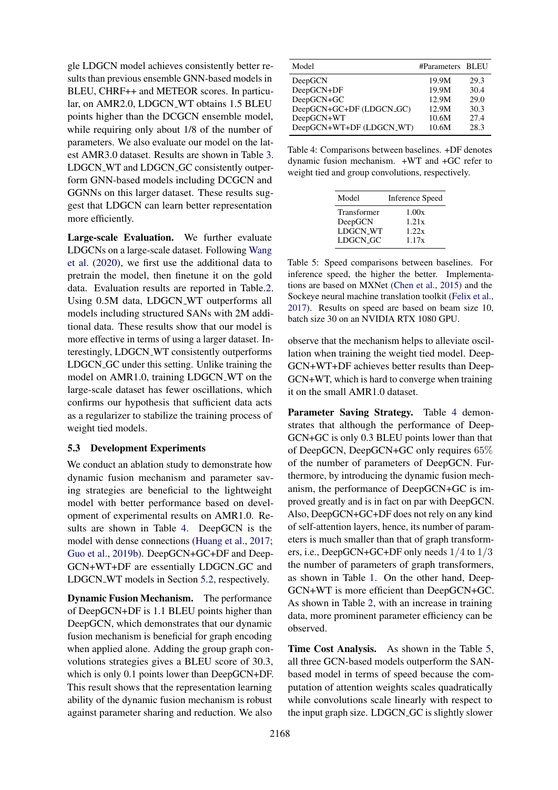gle LDGCN model achieves consistently better results than previous ensemble GNN-based models in BLEU, CHRF++ and METEOR scores. In particular, on AMR2.0, LDGCN\_WT obtains 1.5 BLEU points higher than the DCGCN ensemble model, while requiring only about 1/8 of the number of parameters. We also evaluate our model on the latest AMR3.0 dataset. Results are shown in Table [3.](#page-5-1) LDGCN\_WT and LDGCN\_GC consistently outperform GNN-based models including DCGCN and GGNNs on this larger dataset. These results suggest that LDGCN can learn better representation more efficiently.

Large-scale Evaluation. We further evaluate LDGCNs on a large-scale dataset. Following [Wang](#page-10-5) [et al.](#page-10-5) [\(2020\)](#page-10-5), we first use the additional data to pretrain the model, then finetune it on the gold data. Evaluation results are reported in Table[.2.](#page-5-2) Using 0.5M data, LDGCN WT outperforms all models including structured SANs with 2M additional data. These results show that our model is more effective in terms of using a larger dataset. Interestingly, LDGCN WT consistently outperforms LDGCN GC under this setting. Unlike training the model on AMR1.0, training LDGCN WT on the large-scale dataset has fewer oscillations, which confirms our hypothesis that sufficient data acts as a regularizer to stabilize the training process of weight tied models.

### 5.3 Development Experiments

We conduct an ablation study to demonstrate how dynamic fusion mechanism and parameter saving strategies are beneficial to the lightweight model with better performance based on development of experimental results on AMR1.0. Results are shown in Table [4.](#page-6-0) DeepGCN is the model with dense connections [\(Huang et al.,](#page-9-13) [2017;](#page-9-13) [Guo et al.,](#page-9-5) [2019b\)](#page-9-5). DeepGCN+GC+DF and Deep-GCN+WT+DF are essentially LDGCN GC and LDGCN WT models in Section [5.2,](#page-5-3) respectively.

Dynamic Fusion Mechanism. The performance of DeepGCN+DF is 1.1 BLEU points higher than DeepGCN, which demonstrates that our dynamic fusion mechanism is beneficial for graph encoding when applied alone. Adding the group graph convolutions strategies gives a BLEU score of 30.3, which is only 0.1 points lower than DeepGCN+DF. This result shows that the representation learning ability of the dynamic fusion mechanism is robust against parameter sharing and reduction. We also

<span id="page-6-0"></span>

| Model                    | #Parameters BLEU |      |
|--------------------------|------------------|------|
| DeepGCN                  | 19.9M            | 29.3 |
| DeepGCN+DF               | 19.9M            | 30.4 |
| DeepGCN+GC               | 12.9M            | 29.0 |
| DeepGCN+GC+DF (LDGCN_GC) | 12.9M            | 30.3 |
| DeepGCN+WT               | 10.6M            | 27.4 |
| DeepGCN+WT+DF (LDGCN_WT) | 10.6M            | 28.3 |

<span id="page-6-1"></span>Table 4: Comparisons between baselines. +DF denotes dynamic fusion mechanism. +WT and +GC refer to weight tied and group convolutions, respectively.

| Model           | <b>Inference Speed</b> |
|-----------------|------------------------|
| Transformer     | 1.00x                  |
| DeepGCN         | 1.21x                  |
| <b>LDGCN WT</b> | 1.22x                  |
| LDGCN_GC        | 1.17x                  |

Table 5: Speed comparisons between baselines. For inference speed, the higher the better. Implementations are based on MXNet [\(Chen et al.,](#page-9-9) [2015\)](#page-9-9) and the Sockeye neural machine translation toolkit [\(Felix et al.,](#page-9-10) [2017\)](#page-9-10). Results on speed are based on beam size 10, batch size 30 on an NVIDIA RTX 1080 GPU.

observe that the mechanism helps to alleviate oscillation when training the weight tied model. Deep-GCN+WT+DF achieves better results than Deep-GCN+WT, which is hard to converge when training it on the small AMR1.0 dataset.

Parameter Saving Strategy. Table [4](#page-6-0) demonstrates that although the performance of Deep-GCN+GC is only 0.3 BLEU points lower than that of DeepGCN, DeepGCN+GC only requires 65% of the number of parameters of DeepGCN. Furthermore, by introducing the dynamic fusion mechanism, the performance of DeepGCN+GC is improved greatly and is in fact on par with DeepGCN. Also, DeepGCN+GC+DF does not rely on any kind of self-attention layers, hence, its number of parameters is much smaller than that of graph transformers, i.e., DeepGCN+GC+DF only needs 1/4 to 1/3 the number of parameters of graph transformers, as shown in Table [1.](#page-5-0) On the other hand, Deep-GCN+WT is more efficient than DeepGCN+GC. As shown in Table [2,](#page-5-2) with an increase in training data, more prominent parameter efficiency can be observed.

Time Cost Analysis. As shown in the Table [5,](#page-6-1) all three GCN-based models outperform the SANbased model in terms of speed because the computation of attention weights scales quadratically while convolutions scale linearly with respect to the input graph size. LDGCN\_GC is slightly slower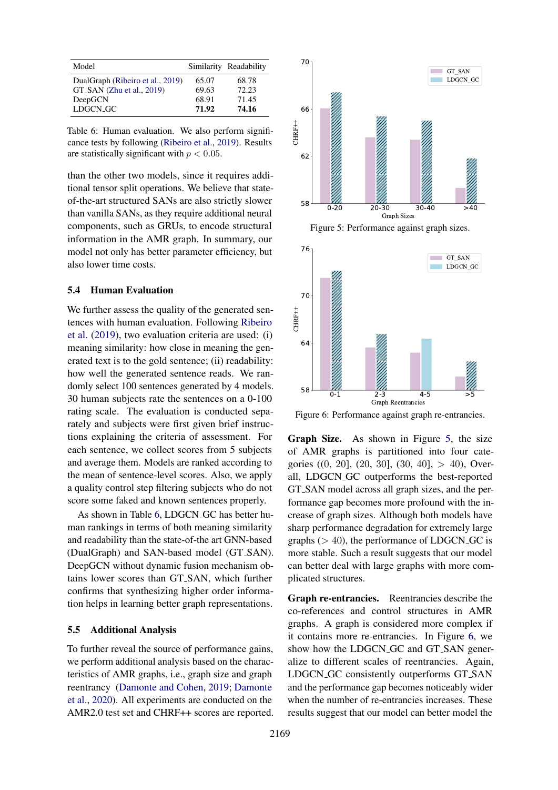<span id="page-7-0"></span>

| Model                                                         |                | Similarity Readability |
|---------------------------------------------------------------|----------------|------------------------|
| DualGraph (Ribeiro et al., 2019)<br>GT_SAN (Zhu et al., 2019) | 65.07<br>69.63 | 68.78<br>72.23         |
| DeepGCN                                                       | 68.91          | 71.45                  |
| LDGCN_GC                                                      | 71.92          | 74.16                  |

Table 6: Human evaluation. We also perform significance tests by following [\(Ribeiro et al.,](#page-10-2) [2019\)](#page-10-2). Results are statistically significant with  $p < 0.05$ .

than the other two models, since it requires additional tensor split operations. We believe that stateof-the-art structured SANs are also strictly slower than vanilla SANs, as they require additional neural components, such as GRUs, to encode structural information in the AMR graph. In summary, our model not only has better parameter efficiency, but also lower time costs.

### 5.4 Human Evaluation

We further assess the quality of the generated sentences with human evaluation. Following [Ribeiro](#page-10-2) [et al.](#page-10-2) [\(2019\)](#page-10-2), two evaluation criteria are used: (i) meaning similarity: how close in meaning the generated text is to the gold sentence; (ii) readability: how well the generated sentence reads. We randomly select 100 sentences generated by 4 models. 30 human subjects rate the sentences on a 0-100 rating scale. The evaluation is conducted separately and subjects were first given brief instructions explaining the criteria of assessment. For each sentence, we collect scores from 5 subjects and average them. Models are ranked according to the mean of sentence-level scores. Also, we apply a quality control step filtering subjects who do not score some faked and known sentences properly.

As shown in Table [6,](#page-7-0) LDGCN<sub>GC</sub> has better human rankings in terms of both meaning similarity and readability than the state-of-the art GNN-based (DualGraph) and SAN-based model (GT SAN). DeepGCN without dynamic fusion mechanism obtains lower scores than GT SAN, which further confirms that synthesizing higher order information helps in learning better graph representations.

### 5.5 Additional Analysis

To further reveal the source of performance gains, we perform additional analysis based on the characteristics of AMR graphs, i.e., graph size and graph reentrancy [\(Damonte and Cohen,](#page-9-3) [2019;](#page-9-3) [Damonte](#page-9-23) [et al.,](#page-9-23) [2020\)](#page-9-23). All experiments are conducted on the AMR2.0 test set and CHRF++ scores are reported.

<span id="page-7-1"></span>



<span id="page-7-2"></span>

Figure 6: Performance against graph re-entrancies.

Graph Size. As shown in Figure [5,](#page-7-1) the size of AMR graphs is partitioned into four categories  $((0, 20], (20, 30], (30, 40], > 40)$ , Overall, LDGCN GC outperforms the best-reported GT SAN model across all graph sizes, and the performance gap becomes more profound with the increase of graph sizes. Although both models have sharp performance degradation for extremely large graphs  $(> 40)$ , the performance of LDGCN<sub>-GC</sub> is more stable. Such a result suggests that our model can better deal with large graphs with more complicated structures.

Graph re-entrancies. Reentrancies describe the co-references and control structures in AMR graphs. A graph is considered more complex if it contains more re-entrancies. In Figure [6,](#page-7-2) we show how the LDGCN<sub>-GC</sub> and GT<sub>-SAN</sub> generalize to different scales of reentrancies. Again, LDGCN GC consistently outperforms GT SAN and the performance gap becomes noticeably wider when the number of re-entrancies increases. These results suggest that our model can better model the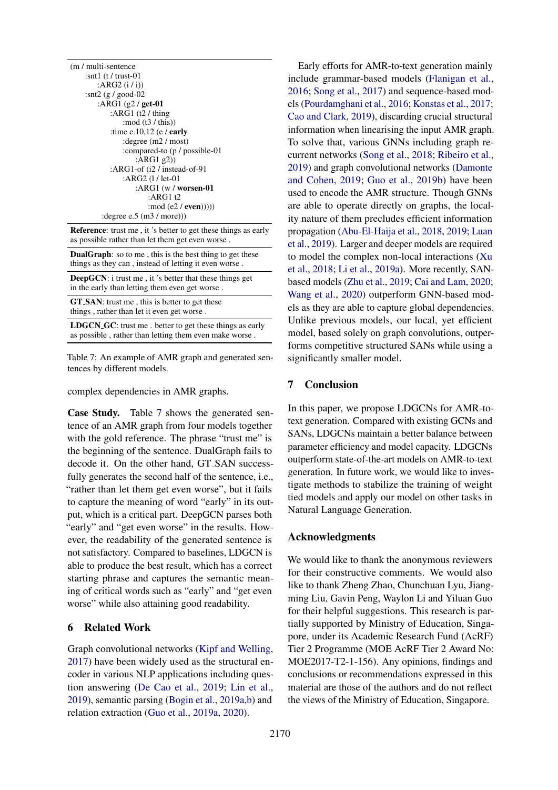<span id="page-8-0"></span>

| (m / multi-sentence)           |
|--------------------------------|
| :snt1 $(t / \text{trust-01})$  |
| :ARG2 $(i / i)$                |
| :snt2 $(g / good-02)$          |
| :ARG1 (g2 / get-01)            |
| : $ARG1$ (t2 / thing           |
| : mod $(t3 / this)$            |
| :time e.10,12 (e $/$ early     |
| : degree $(m2 / most)$         |
| :compared-to (p / possible-01) |
| : $ARG1$ g2))                  |
| :ARG1-of $(i2 /$ instead-of-91 |
| :ARG2 $(1/let-01)$             |
| : $ARG1$ (w / worsen-01        |
| :ARG1 t2                       |
| :mod $(e2 / even))$ )          |
| : degree e.5 $(m3 / more))$    |

Reference: trust me , it 's better to get these things as early as possible rather than let them get even worse .

DualGraph: so to me , this is the best thing to get these things as they can , instead of letting it even worse .

DeepGCN: i trust me , it 's better that these things get in the early than letting them even get worse .

GT\_SAN: trust me, this is better to get these things , rather than let it even get worse .

LDGCN\_GC: trust me. better to get these things as early as possible , rather than letting them even make worse .

Table 7: An example of AMR graph and generated sentences by different models.

complex dependencies in AMR graphs.

Case Study. Table [7](#page-8-0) shows the generated sentence of an AMR graph from four models together with the gold reference. The phrase "trust me" is the beginning of the sentence. DualGraph fails to decode it. On the other hand, GT SAN successfully generates the second half of the sentence, i.e., "rather than let them get even worse", but it fails to capture the meaning of word "early" in its output, which is a critical part. DeepGCN parses both "early" and "get even worse" in the results. However, the readability of the generated sentence is not satisfactory. Compared to baselines, LDGCN is able to produce the best result, which has a correct starting phrase and captures the semantic meaning of critical words such as "early" and "get even worse" while also attaining good readability.

### 6 Related Work

Graph convolutional networks [\(Kipf and Welling,](#page-9-4) [2017\)](#page-9-4) have been widely used as the structural encoder in various NLP applications including question answering [\(De Cao et al.,](#page-9-24) [2019;](#page-9-24) [Lin et al.,](#page-10-17) [2019\)](#page-10-17), semantic parsing [\(Bogin et al.,](#page-9-25) [2019a](#page-9-25)[,b\)](#page-9-26) and relation extraction [\(Guo et al.,](#page-9-27) [2019a,](#page-9-27) [2020\)](#page-9-28).

Early efforts for AMR-to-text generation mainly include grammar-based models [\(Flanigan et al.,](#page-9-29) [2016;](#page-9-29) [Song et al.,](#page-10-18) [2017\)](#page-10-18) and sequence-based models [\(Pourdamghani et al.,](#page-10-0) [2016;](#page-10-0) [Konstas et al.,](#page-9-1) [2017;](#page-9-1) [Cao and Clark,](#page-9-21) [2019\)](#page-9-21), discarding crucial structural information when linearising the input AMR graph. To solve that, various GNNs including graph recurrent networks [\(Song et al.,](#page-10-1) [2018;](#page-10-1) [Ribeiro et al.,](#page-10-2) [2019\)](#page-10-2) and graph convolutional networks [\(Damonte](#page-9-3) [and Cohen,](#page-9-3) [2019;](#page-9-3) [Guo et al.,](#page-9-5) [2019b\)](#page-9-5) have been used to encode the AMR structure. Though GNNs are able to operate directly on graphs, the locality nature of them precludes efficient information propagation [\(Abu-El-Haija et al.,](#page-9-8) [2018,](#page-9-8) [2019;](#page-9-7) [Luan](#page-10-9) [et al.,](#page-10-9) [2019\)](#page-10-9). Larger and deeper models are required to model the complex non-local interactions [\(Xu](#page-10-3) [et al.,](#page-10-3) [2018;](#page-10-3) [Li et al.,](#page-10-19) [2019a\)](#page-10-19). More recently, SANbased models [\(Zhu et al.,](#page-10-4) [2019;](#page-10-4) [Cai and Lam,](#page-9-6) [2020;](#page-9-6) [Wang et al.,](#page-10-5) [2020\)](#page-10-5) outperform GNN-based models as they are able to capture global dependencies. Unlike previous models, our local, yet efficient model, based solely on graph convolutions, outperforms competitive structured SANs while using a significantly smaller model.

## 7 Conclusion

In this paper, we propose LDGCNs for AMR-totext generation. Compared with existing GCNs and SANs, LDGCNs maintain a better balance between parameter efficiency and model capacity. LDGCNs outperform state-of-the-art models on AMR-to-text generation. In future work, we would like to investigate methods to stabilize the training of weight tied models and apply our model on other tasks in Natural Language Generation.

#### Acknowledgments

We would like to thank the anonymous reviewers for their constructive comments. We would also like to thank Zheng Zhao, Chunchuan Lyu, Jiangming Liu, Gavin Peng, Waylon Li and Yiluan Guo for their helpful suggestions. This research is partially supported by Ministry of Education, Singapore, under its Academic Research Fund (AcRF) Tier 2 Programme (MOE AcRF Tier 2 Award No: MOE2017-T2-1-156). Any opinions, findings and conclusions or recommendations expressed in this material are those of the authors and do not reflect the views of the Ministry of Education, Singapore.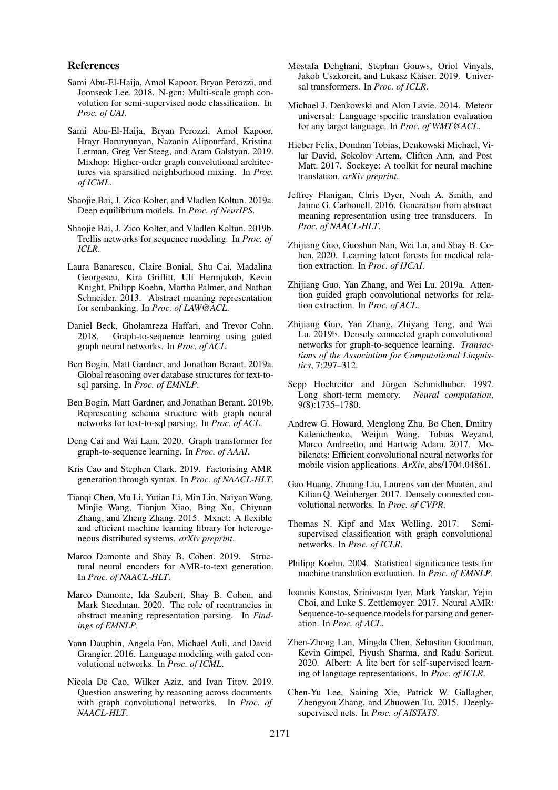#### References

- <span id="page-9-8"></span>Sami Abu-El-Haija, Amol Kapoor, Bryan Perozzi, and Joonseok Lee. 2018. N-gcn: Multi-scale graph convolution for semi-supervised node classification. In *Proc. of UAI*.
- <span id="page-9-7"></span>Sami Abu-El-Haija, Bryan Perozzi, Amol Kapoor, Hrayr Harutyunyan, Nazanin Alipourfard, Kristina Lerman, Greg Ver Steeg, and Aram Galstyan. 2019. Mixhop: Higher-order graph convolutional architectures via sparsified neighborhood mixing. In *Proc. of ICML*.
- <span id="page-9-15"></span>Shaojie Bai, J. Zico Kolter, and Vladlen Koltun. 2019a. Deep equilibrium models. In *Proc. of NeurIPS*.
- <span id="page-9-19"></span>Shaojie Bai, J. Zico Kolter, and Vladlen Koltun. 2019b. Trellis networks for sequence modeling. In *Proc. of ICLR*.
- <span id="page-9-0"></span>Laura Banarescu, Claire Bonial, Shu Cai, Madalina Georgescu, Kira Griffitt, Ulf Hermjakob, Kevin Knight, Philipp Koehn, Martha Palmer, and Nathan Schneider. 2013. Abstract meaning representation for sembanking. In *Proc. of LAW@ACL*.
- <span id="page-9-2"></span>Daniel Beck, Gholamreza Haffari, and Trevor Cohn. 2018. Graph-to-sequence learning using gated graph neural networks. In *Proc. of ACL*.
- <span id="page-9-25"></span>Ben Bogin, Matt Gardner, and Jonathan Berant. 2019a. Global reasoning over database structures for text-tosql parsing. In *Proc. of EMNLP*.
- <span id="page-9-26"></span>Ben Bogin, Matt Gardner, and Jonathan Berant. 2019b. Representing schema structure with graph neural networks for text-to-sql parsing. In *Proc. of ACL*.
- <span id="page-9-6"></span>Deng Cai and Wai Lam. 2020. Graph transformer for graph-to-sequence learning. In *Proc. of AAAI*.
- <span id="page-9-21"></span>Kris Cao and Stephen Clark. 2019. Factorising AMR generation through syntax. In *Proc. of NAACL-HLT*.
- <span id="page-9-9"></span>Tianqi Chen, Mu Li, Yutian Li, Min Lin, Naiyan Wang, Minjie Wang, Tianjun Xiao, Bing Xu, Chiyuan Zhang, and Zheng Zhang. 2015. Mxnet: A flexible and efficient machine learning library for heterogeneous distributed systems. *arXiv preprint*.
- <span id="page-9-3"></span>Marco Damonte and Shay B. Cohen. 2019. Structural neural encoders for AMR-to-text generation. In *Proc. of NAACL-HLT*.
- <span id="page-9-23"></span>Marco Damonte, Ida Szubert, Shay B. Cohen, and Mark Steedman. 2020. The role of reentrancies in abstract meaning representation parsing. In *Findings of EMNLP*.
- <span id="page-9-11"></span>Yann Dauphin, Angela Fan, Michael Auli, and David Grangier. 2016. Language modeling with gated convolutional networks. In *Proc. of ICML*.
- <span id="page-9-24"></span>Nicola De Cao, Wilker Aziz, and Ivan Titov. 2019. Question answering by reasoning across documents with graph convolutional networks. In *Proc. of NAACL-HLT*.
- <span id="page-9-16"></span>Mostafa Dehghani, Stephan Gouws, Oriol Vinyals, Jakob Uszkoreit, and Lukasz Kaiser. 2019. Universal transformers. In *Proc. of ICLR*.
- <span id="page-9-20"></span>Michael J. Denkowski and Alon Lavie. 2014. Meteor universal: Language specific translation evaluation for any target language. In *Proc. of WMT@ACL*.
- <span id="page-9-10"></span>Hieber Felix, Domhan Tobias, Denkowski Michael, Vilar David, Sokolov Artem, Clifton Ann, and Post Matt. 2017. Sockeye: A toolkit for neural machine translation. *arXiv preprint*.
- <span id="page-9-29"></span>Jeffrey Flanigan, Chris Dyer, Noah A. Smith, and Jaime G. Carbonell. 2016. Generation from abstract meaning representation using tree transducers. In *Proc. of NAACL-HLT*.
- <span id="page-9-28"></span>Zhijiang Guo, Guoshun Nan, Wei Lu, and Shay B. Cohen. 2020. Learning latent forests for medical relation extraction. In *Proc. of IJCAI*.
- <span id="page-9-27"></span>Zhijiang Guo, Yan Zhang, and Wei Lu. 2019a. Attention guided graph convolutional networks for relation extraction. In *Proc. of ACL*.
- <span id="page-9-5"></span>Zhijiang Guo, Yan Zhang, Zhiyang Teng, and Wei Lu. 2019b. Densely connected graph convolutional networks for graph-to-sequence learning. *Transactions of the Association for Computational Linguistics*, 7:297–312.
- <span id="page-9-12"></span>Sepp Hochreiter and Jürgen Schmidhuber. 1997.<br>
Long short-term memory. Neural computation, Long short-term memory. 9(8):1735–1780.
- <span id="page-9-14"></span>Andrew G. Howard, Menglong Zhu, Bo Chen, Dmitry Kalenichenko, Weijun Wang, Tobias Weyand, Marco Andreetto, and Hartwig Adam. 2017. Mobilenets: Efficient convolutional neural networks for mobile vision applications. *ArXiv*, abs/1704.04861.
- <span id="page-9-13"></span>Gao Huang, Zhuang Liu, Laurens van der Maaten, and Kilian Q. Weinberger. 2017. Densely connected convolutional networks. In *Proc. of CVPR*.
- <span id="page-9-4"></span>Thomas N. Kipf and Max Welling. 2017. Semisupervised classification with graph convolutional networks. In *Proc. of ICLR*.
- <span id="page-9-22"></span>Philipp Koehn. 2004. Statistical significance tests for machine translation evaluation. In *Proc. of EMNLP*.
- <span id="page-9-1"></span>Ioannis Konstas, Srinivasan Iyer, Mark Yatskar, Yejin Choi, and Luke S. Zettlemoyer. 2017. Neural AMR: Sequence-to-sequence models for parsing and generation. In *Proc. of ACL*.
- <span id="page-9-17"></span>Zhen-Zhong Lan, Mingda Chen, Sebastian Goodman, Kevin Gimpel, Piyush Sharma, and Radu Soricut. 2020. Albert: A lite bert for self-supervised learning of language representations. In *Proc. of ICLR*.
- <span id="page-9-18"></span>Chen-Yu Lee, Saining Xie, Patrick W. Gallagher, Zhengyou Zhang, and Zhuowen Tu. 2015. Deeplysupervised nets. In *Proc. of AISTATS*.